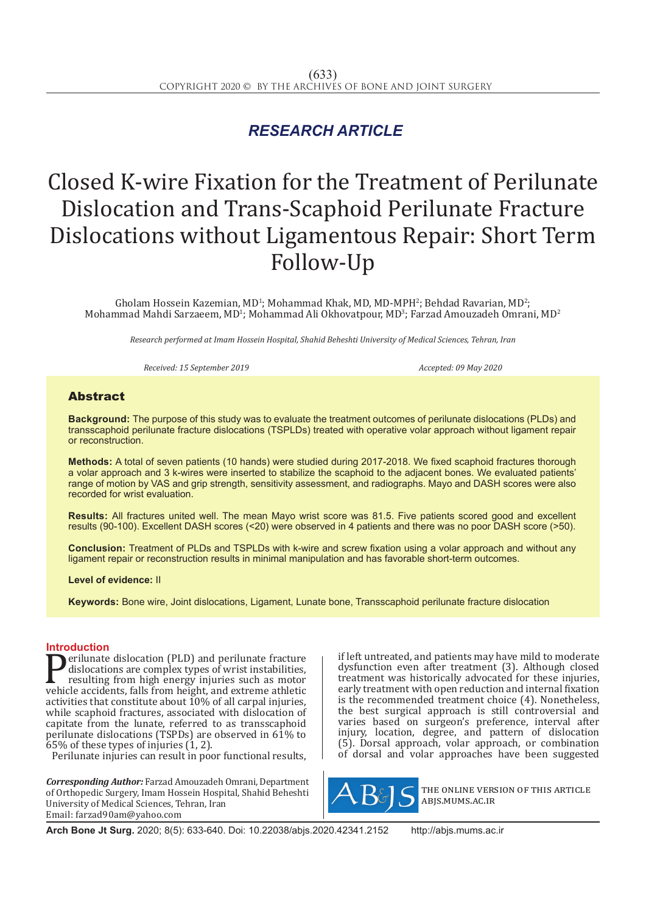## *RESEARCH ARTICLE*

# Closed K-wire Fixation for the Treatment of Perilunate Dislocation and Trans-Scaphoid Perilunate Fracture Dislocations without Ligamentous Repair: Short Term Follow-Up

Gholam Hossein Kazemian, MD<sup>1</sup>; Mohammad Khak, MD, MD-MPH<sup>2</sup>; Behdad Ravarian, MD<sup>2</sup>;  $M$ ohammad Mahdi Sarzaeem, MD<sup>1</sup>; Mohammad Ali Okhovatpour, MD<sup>3</sup>; Farzad Amouzadeh Omrani, MD<sup>2</sup>

*Research performed at Imam Hossein Hospital, Shahid Beheshti University of Medical Sciences, Tehran, Iran*

*Received: 15 September 2019 Accepted: 09 May 2020*

## Abstract

**Background:** The purpose of this study was to evaluate the treatment outcomes of perilunate dislocations (PLDs) and transscaphoid perilunate fracture dislocations (TSPLDs) treated with operative volar approach without ligament repair or reconstruction.

**Methods:** A total of seven patients (10 hands) were studied during 2017-2018. We fixed scaphoid fractures thorough a volar approach and 3 k-wires were inserted to stabilize the scaphoid to the adjacent bones. We evaluated patients' range of motion by VAS and grip strength, sensitivity assessment, and radiographs. Mayo and DASH scores were also recorded for wrist evaluation.

**Results:** All fractures united well. The mean Mayo wrist score was 81.5. Five patients scored good and excellent results (90-100). Excellent DASH scores (<20) were observed in 4 patients and there was no poor DASH score (>50).

**Conclusion:** Treatment of PLDs and TSPLDs with k-wire and screw fixation using a volar approach and without any ligament repair or reconstruction results in minimal manipulation and has favorable short-term outcomes.

**Level of evidence:** II

**Keywords:** Bone wire, Joint dislocations, Ligament, Lunate bone, Transscaphoid perilunate fracture dislocation

**Introduction**<br>**Introduction** (PLD) and perilunate fracture **Perilunate dislocation (PLD) and perilunate fracture**<br>dislocations are complex types of wrist instabilities,<br>resulting from high energy injuries such as motor<br>vehicle accidents, falls from height, and extreme athletic<br>act dislocations are complex types of wrist instabilities, resulting from high energy injuries such as motor vehicle accidents, falls from height, and extreme athletic activities that constitute about  $10\%$  of all carpal injuries, while scaphoid fractures, associated with dislocation of capitate from the lunate, referred to as transscaphoid perilunate dislocations (TSPDs) are observed in 61% to  $65\%$  of these types of injuries  $(1, 2)$ .

Perilunate injuries can result in poor functional results.

*Corresponding Author:* Farzad Amouzadeh Omrani, Department of Orthopedic Surgery, Imam Hossein Hospital, Shahid Beheshti University of Medical Sciences, Tehran, Iran Email: farzad90am@yahoo.com

if left untreated, and patients may have mild to moderate dysfunction even after treatment (3). Although closed treatment was historically advocated for these injuries, early treatment with open reduction and internal fixation is the recommended treatment choice (4). Nonetheless, the best surgical approach is still controversial and varies based on surgeon's preference, interval after injury, location, degree, and pattern of dislocation (5). Dorsal approach, volar approach, or combination of dorsal and volar approaches have been suggested



the online version of this article abjs.mums.ac.ir

**Arch Bone Jt Surg.** 2020; 8(5): 633-640. Doi: 10.22038/abjs.2020.42341.2152 http://abjs.mums.ac.ir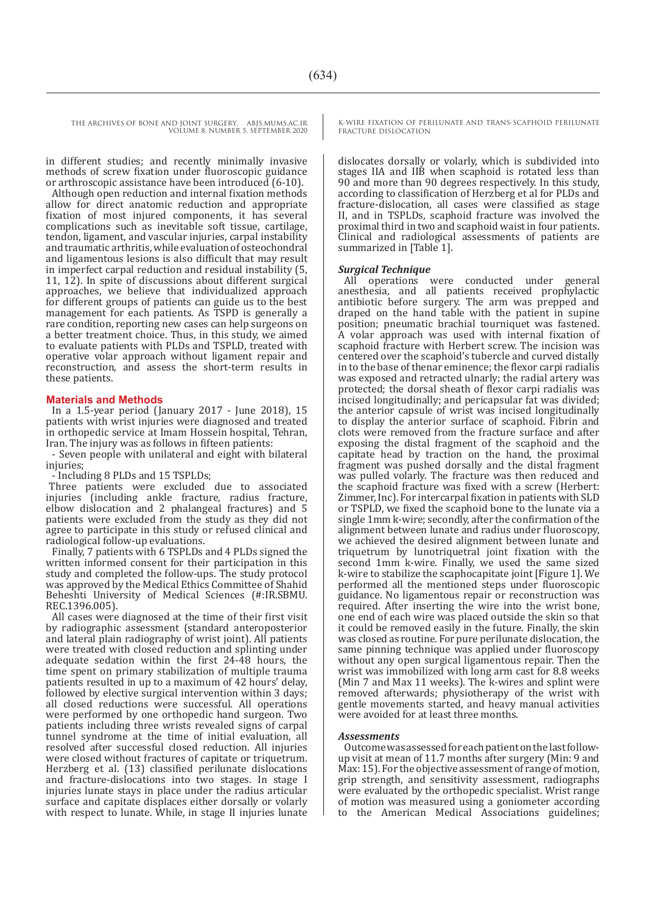in different studies; and recently minimally invasive methods of screw fixation under fluoroscopic guidance or arthroscopic assistance have been introduced (6-10).

Although open reduction and internal fixation methods allow for direct anatomic reduction and appropriate fixation of most injured components, it has several complications such as inevitable soft tissue, cartilage, tendon, ligament, and vascular injuries, carpal instability and traumatic arthritis, while evaluation of osteochondral and ligamentous lesions is also difficult that may result in imperfect carpal reduction and residual instability (5, 11, 12). In spite of discussions about different surgical approaches, we believe that individualized approach for different groups of patients can guide us to the best management for each patients. As TSPD is generally a rare condition, reporting new cases can help surgeons on a better treatment choice. Thus, in this study, we aimed to evaluate patients with PLDs and TSPLD, treated with operative volar approach without ligament repair and reconstruction, and assess the short-term results in these patients.

#### **Materials and Methods**

In a 1.5-year period (January 2017 - June 2018), 15 patients with wrist injuries were diagnosed and treated in orthopedic service at Imam Hossein hospital, Tehran, Iran. The injury was as follows in fifteen patients:

- Seven people with unilateral and eight with bilateral injuries;

- Including 8 PLDs and 15 TSPLDs;

Three patients were excluded due to associated injuries (including ankle fracture, radius fracture, elbow dislocation and 2 phalangeal fractures) and 5 patients were excluded from the study as they did not agree to participate in this study or refused clinical and radiological follow-up evaluations.

Finally, 7 patients with 6 TSPLDs and 4 PLDs signed the written informed consent for their participation in this study and completed the follow-ups. The study protocol was approved by the Medical Ethics Committee of Shahid Beheshti University of Medical Sciences (#:IR.SBMU. REC.1396.005).

All cases were diagnosed at the time of their first visit by radiographic assessment (standard anteroposterior and lateral plain radiography of wrist joint). All patients were treated with closed reduction and splinting under adequate sedation within the first 24-48 hours, the time spent on primary stabilization of multiple trauma patients resulted in up to a maximum of 42 hours' delay, followed by elective surgical intervention within 3 days; all closed reductions were successful. All operations were performed by one orthopedic hand surgeon. Two patients including three wrists revealed signs of carpal tunnel syndrome at the time of initial evaluation, all resolved after successful closed reduction. All injuries were closed without fractures of capitate or triquetrum. Herzberg et al. (13) classified perilunate dislocations and fracture-dislocations into two stages. In stage I injuries lunate stays in place under the radius articular surface and capitate displaces either dorsally or volarly with respect to lunate. While, in stage II injuries lunate

K-WIRE FIXATION OF PERILUNATE AND TRANS-SCAPHOID PERILUNATE FRACTURE DISLOCATION

dislocates dorsally or volarly, which is subdivided into stages IIA and IIB when scaphoid is rotated less than 90 and more than 90 degrees respectively. In this study, according to classification of Herzberg et al for PLDs and fracture-dislocation, all cases were classified as stage II, and in TSPLDs, scaphoid fracture was involved the proximal third in two and scaphoid waist in four patients. Clinical and radiological assessments of patients are summarized in [Table 1].

*Surgical Technique*  were conducted under general anesthesia, and all patients received prophylactic antibiotic before surgery. The arm was prepped and draped on the hand table with the patient in supine position; pneumatic brachial tourniquet was fastened. A volar approach was used with internal fixation of scaphoid fracture with Herbert screw. The incision was centered over the scaphoid's tubercle and curved distally in to the base of thenar eminence; the flexor carpi radialis was exposed and retracted ulnarly; the radial artery was protected; the dorsal sheath of flexor carpi radialis was incised longitudinally; and pericapsular fat was divided; the anterior capsule of wrist was incised longitudinally to display the anterior surface of scaphoid. Fibrin and clots were removed from the fracture surface and after exposing the distal fragment of the scaphoid and the capitate head by traction on the hand, the proximal fragment was pushed dorsally and the distal fragment was pulled volarly. The fracture was then reduced and the scaphoid fracture was fixed with a screw (Herbert: Zimmer, Inc). For intercarpal fixation in patients with SLD or TSPLD, we fixed the scaphoid bone to the lunate via a single 1mm k-wire; secondly, after the confirmation of the alignment between lunate and radius under fluoroscopy, we achieved the desired alignment between lunate and triquetrum by lunotriquetral joint fixation with the second 1mm k-wire. Finally, we used the same sized k-wire to stabilize the scaphocapitate joint [Figure 1]. We performed all the mentioned steps under fluoroscopic guidance. No ligamentous repair or reconstruction was required. After inserting the wire into the wrist bone, one end of each wire was placed outside the skin so that it could be removed easily in the future. Finally, the skin was closed as routine. For pure perilunate dislocation, the same pinning technique was applied under fluoroscopy without any open surgical ligamentous repair. Then the wrist was immobilized with long arm cast for 8.8 weeks (Min 7 and Max 11 weeks). The k-wires and splint were removed afterwards; physiotherapy of the wrist with gentle movements started, and heavy manual activities were avoided for at least three months.

#### *Assessments*

Outcome was assessed for each patient on the last followup visit at mean of 11.7 months after surgery (Min: 9 and Max: 15). For the objective assessment of range of motion, grip strength, and sensitivity assessment, radiographs were evaluated by the orthopedic specialist. Wrist range of motion was measured using a goniometer according to the American Medical Associations guidelines;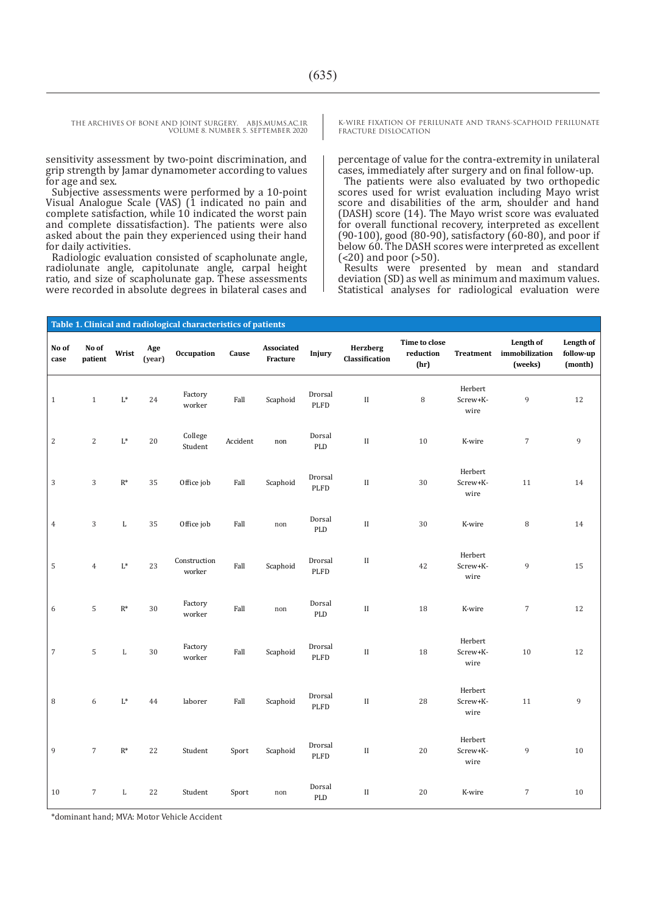sensitivity assessment by two-point discrimination, and grip strength by Jamar dynamometer according to values for age and sex.

Subjective assessments were performed by a 10-point Visual Analogue Scale (VAS) (1 indicated no pain and complete satisfaction, while 10 indicated the worst pain and complete dissatisfaction). The patients were also asked about the pain they experienced using their hand for daily activities.

Radiologic evaluation consisted of scapholunate angle, radiolunate angle, capitolunate angle, carpal height ratio, and size of scapholunate gap. These assessments were recorded in absolute degrees in bilateral cases and K-WIRE FIXATION OF PERILUNATE AND TRANS-SCAPHOID PERILUNATE FRACTURE DISLOCATION

percentage of value for the contra-extremity in unilateral cases, immediately after surgery and on final follow-up.

The patients were also evaluated by two orthopedic scores used for wrist evaluation including Mayo wrist score and disabilities of the arm, shoulder and hand (DASH) score (14). The Mayo wrist score was evaluated for overall functional recovery, interpreted as excellent (90-100), good (80-90), satisfactory (60-80), and poor if below 60. The DASH scores were interpreted as excellent  $\left( < 20 \right)$  and poor  $\left( > 50 \right)$ .

Results were presented by mean and standard deviation (SD) as well as minimum and maximum values. Statistical analyses for radiological evaluation were

| Table 1. Clinical and radiological characteristics of patients |                  |                |               |                        |          |                        |                                         |                            |                                    |                             |                                        |                                   |
|----------------------------------------------------------------|------------------|----------------|---------------|------------------------|----------|------------------------|-----------------------------------------|----------------------------|------------------------------------|-----------------------------|----------------------------------------|-----------------------------------|
| No of<br>case                                                  | No of<br>patient | Wrist          | Age<br>(year) | Occupation             | Cause    | Associated<br>Fracture | Injury                                  | Herzberg<br>Classification | Time to close<br>reduction<br>(hr) | Treatment                   | Length of<br>immobilization<br>(weeks) | Length of<br>follow-up<br>(month) |
| $\,1\,$                                                        | $\mathbf{1}$     | $\mathbf{L}^*$ | 24            | Factory<br>worker      | Fall     | Scaphoid               | Drorsal<br>PLFD                         | $\rm II$                   | 8                                  | Herbert<br>Screw+K-<br>wire | 9                                      | 12                                |
| $\sqrt{2}$                                                     | $\sqrt{2}$       | $\mathrm{L}^*$ | $20\,$        | College<br>Student     | Accident | $\operatorname{non}$   | Dorsal<br>PLD                           | $\rm II$                   | $10\,$                             | K-wire                      | $\sqrt{ }$                             | $\overline{9}$                    |
| $\sqrt{3}$                                                     | $\mathbf{3}$     | $\mathbf{R}^*$ | 35            | Office job             | Fall     | Scaphoid               | Drorsal<br>PLFD                         | $\rm II$                   | 30                                 | Herbert<br>Screw+K-<br>wire | 11                                     | 14                                |
| $\,4\,$                                                        | $\sqrt{3}$       | $\mathbf L$    | 35            | Office job             | Fall     | $\operatorname{non}$   | Dorsal<br>PLD                           | $\rm II$                   | 30                                 | K-wire                      | $\, 8$                                 | 14                                |
| $\mathbf 5$                                                    | $\overline{4}$   | $\mathrm{L}^*$ | 23            | Construction<br>worker | Fall     | Scaphoid               | Drorsal<br>PLFD                         | $\rm II$                   | 42                                 | Herbert<br>Screw+K-<br>wire | 9                                      | 15                                |
| $\sqrt{6}$                                                     | $\sqrt{5}$       | $\mathbf{R}^*$ | $30\,$        | Factory<br>worker      | Fall     | $\operatorname{non}$   | Dorsal<br>PLD                           | $\rm II$                   | 18                                 | K-wire                      | $\sqrt{ }$                             | 12                                |
| $\sqrt{ }$                                                     | 5                | $\mathbf L$    | $30\,$        | Factory<br>worker      | Fall     | Scaphoid               | Drorsal<br>$\ensuremath{\mathsf{PLFD}}$ | $\rm II$                   | $18\,$                             | Herbert<br>Screw+K-<br>wire | $10\,$                                 | 12                                |
| $\, 8$                                                         | $\sqrt{6}$       | $\mathbf{L}^*$ | 44            | laborer                | Fall     | Scaphoid               | Drorsal<br>PLFD                         | $\rm II$                   | 28                                 | Herbert<br>Screw+K-<br>wire | $11\,$                                 | $\,9$                             |
| $\,9$                                                          | $\sqrt{ }$       | $\mathbf{R}^*$ | 22            | Student                | Sport    | Scaphoid               | Drorsal<br>PLFD                         | $\rm II$                   | $20\,$                             | Herbert<br>Screw+K-<br>wire | 9                                      | 10                                |
| 10                                                             | $\sqrt{7}$       | L              | 22            | Student                | Sport    | non                    | Dorsal<br>PLD                           | $\rm II$                   | 20                                 | K-wire                      | $\sqrt{7}$                             | $10\,$                            |

\*dominant hand; MVA: Motor Vehicle Accident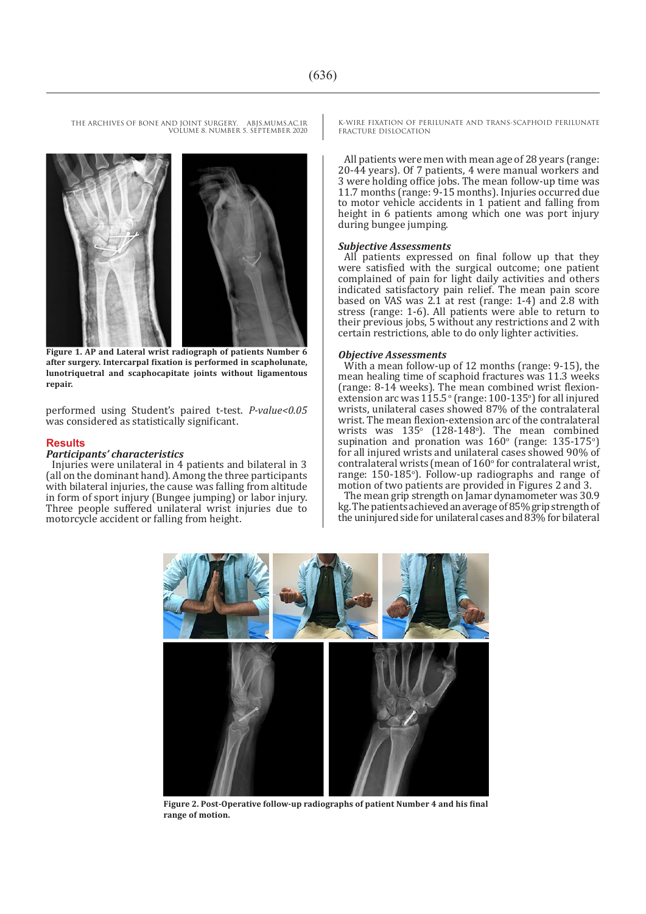

**Figure 1. AP and Lateral wrist radiograph of patients Number 6 after surgery. Intercarpal fixation is performed in scapholunate, lunotriquetral and scaphocapitate joints without ligamentous repair.**

performed using Student's paired t-test. *P-value<0.05* was considered as statistically significant.

#### **Results**

#### *Participants' characteristics*

Injuries were unilateral in 4 patients and bilateral in 3 (all on the dominant hand). Among the three participants with bilateral injuries, the cause was falling from altitude in form of sport injury (Bungee jumping) or labor injury. Three people suffered unilateral wrist injuries due to motorcycle accident or falling from height.

K-WIRE FIXATION OF PERILUNATE AND TRANS-SCAPHOID PERILUNATE FRACTURE DISLOCATION

All patients were men with mean age of 28 years (range: 20-44 years). Of 7 patients, 4 were manual workers and 3 were holding office jobs. The mean follow-up time was 11.7 months (range: 9-15 months). Injuries occurred due to motor vehicle accidents in 1 patient and falling from height in 6 patients among which one was port injury during bungee jumping.

#### *Subjective Assessments*

All patients expressed on final follow up that they were satisfied with the surgical outcome; one patient complained of pain for light daily activities and others indicated satisfactory pain relief. The mean pain score based on VAS was 2.1 at rest (range: 1-4) and 2.8 with stress (range: 1-6). All patients were able to return to their previous jobs, 5 without any restrictions and 2 with certain restrictions, able to do only lighter activities.

#### *Objective Assessments*

With a mean follow-up of 12 months (range: 9-15), the mean healing time of scaphoid fractures was 11.3 weeks (range: 8-14 weeks). The mean combined wrist flexionextension arc was  $115.5^{\circ}$  (range:  $100-135^{\circ}$ ) for all injured wrists, unilateral cases showed 87% of the contralateral wrist. The mean flexion-extension arc of the contralateral wrists was  $135^{\circ}$  (128-148<sup>°</sup>). The mean combined supination and pronation was  $160^\circ$  (range:  $135-175^\circ$ ) for all injured wrists and unilateral cases showed 90% of contralateral wrists (mean of  $160^{\circ}$  for contralateral wrist, range: 150-185°). Follow-up radiographs and range of motion of two patients are provided in Figures 2 and 3.

The mean grip strength on Jamar dynamometer was 30.9 kg. The patients achieved an average of 85% grip strength of the uninjured side for unilateral cases and 83% for bilateral



**Figure 2. Post-Operative follow-up radiographs of patient Number 4 and his final range of motion.**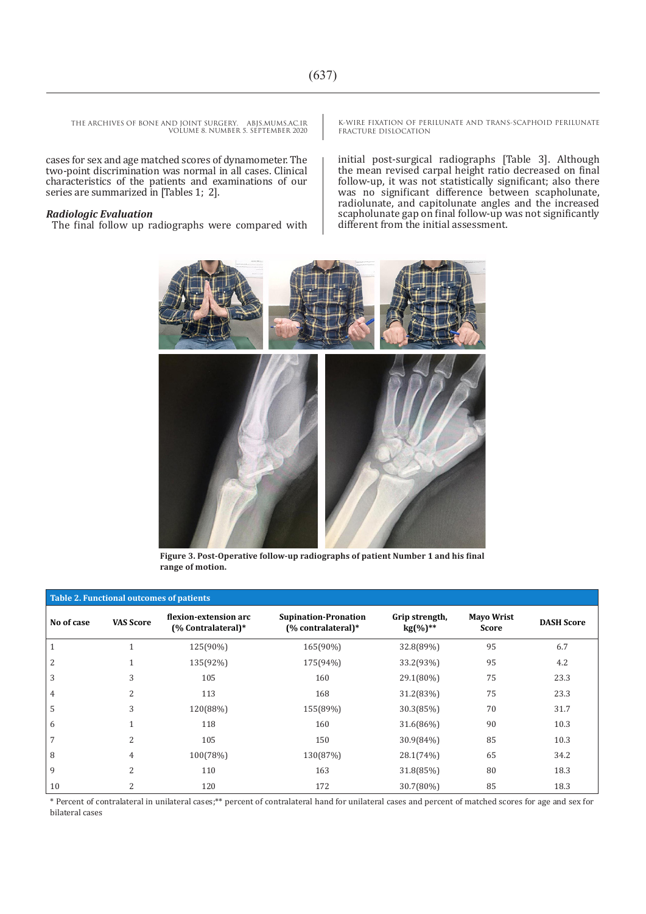cases for sex and age matched scores of dynamometer. The two-point discrimination was normal in all cases. Clinical characteristics of the patients and examinations of our series are summarized in [Tables 1; 2].

#### *Radiologic Evaluation*

The final follow up radiographs were compared with

K-WIRE FIXATION OF PERILUNATE AND TRANS-SCAPHOID PERILUNATE FRACTURE DISLOCATION

initial post-surgical radiographs [Table 3]. Although the mean revised carpal height ratio decreased on final follow-up, it was not statistically significant; also there was no significant difference between scapholunate, radiolunate, and capitolunate angles and the increased scapholunate gap on final follow-up was not significantly different from the initial assessment.



**Figure 3. Post-Operative follow-up radiographs of patient Number 1 and his final range of motion.**

| Table 2. Functional outcomes of patients |                          |                                             |                                                   |                                 |                                   |                   |  |  |
|------------------------------------------|--------------------------|---------------------------------------------|---------------------------------------------------|---------------------------------|-----------------------------------|-------------------|--|--|
| No of case                               | <b>VAS Score</b>         | flexion-extension arc<br>(% Contralateral)* | <b>Supination-Pronation</b><br>(% contralateral)* | Grip strength,<br>$kg(\%)^{**}$ | <b>Mayo Wrist</b><br><b>Score</b> | <b>DASH Score</b> |  |  |
|                                          |                          | 125(90%)                                    | 165(90%)                                          | 32.8(89%)                       | 95                                | 6.7               |  |  |
| 2                                        |                          | 135(92%)                                    | 175(94%)                                          | 33.2(93%)                       | 95                                | 4.2               |  |  |
| 3                                        | 3                        | 105                                         | 160                                               | 29.1(80%)                       | 75                                | 23.3              |  |  |
| 4                                        | 2                        | 113                                         | 168                                               | 31.2(83%)                       | 75                                | 23.3              |  |  |
| 5                                        | 3                        | 120(88%)                                    | 155(89%)                                          | 30.3(85%)                       | 70                                | 31.7              |  |  |
| 6                                        |                          | 118                                         | 160                                               | 31.6(86%)                       | 90                                | 10.3              |  |  |
| 7                                        | $\overline{\mathcal{L}}$ | 105                                         | 150                                               | 30.9(84%)                       | 85                                | 10.3              |  |  |
| 8                                        | 4                        | 100(78%)                                    | 130(87%)                                          | 28.1(74%)                       | 65                                | 34.2              |  |  |
| 9                                        | $\overline{\mathcal{L}}$ | 110                                         | 163                                               | 31.8(85%)                       | 80                                | 18.3              |  |  |
| 10                                       | $\overline{\mathcal{L}}$ | 120                                         | 172                                               | 30.7(80%)                       | 85                                | 18.3              |  |  |

\* Percent of contralateral in unilateral cases;\*\* percent of contralateral hand for unilateral cases and percent of matched scores for age and sex for bilateral cases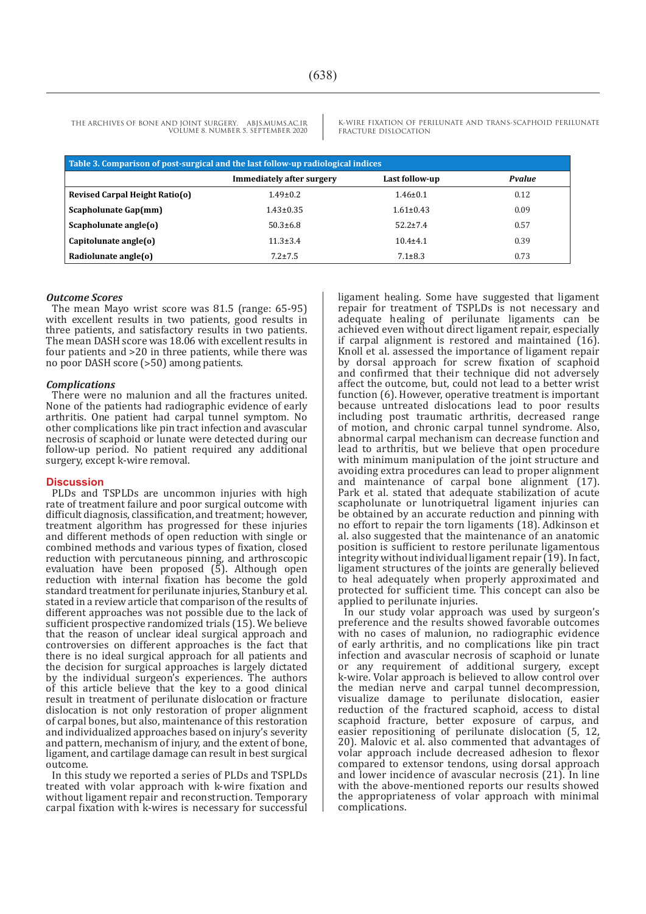K-WIRE FIXATION OF PERILUNATE AND TRANS-SCAPHOID PERILUNATE FRACTURE DISLOCATION

| Table 3. Comparison of post-surgical and the last follow-up radiological indices |                                  |                 |        |  |  |  |
|----------------------------------------------------------------------------------|----------------------------------|-----------------|--------|--|--|--|
|                                                                                  | <b>Immediately after surgery</b> | Last follow-up  | Pvalue |  |  |  |
| Revised Carpal Height Ratio(o)                                                   | $1.49 \pm 0.2$                   | $1.46 \pm 0.1$  | 0.12   |  |  |  |
| Scapholunate Gap(mm)                                                             | $1.43 \pm 0.35$                  | $1.61 \pm 0.43$ | 0.09   |  |  |  |
| Scapholunate angle(o)                                                            | $50.3 \pm 6.8$                   | $52.2 \pm 7.4$  | 0.57   |  |  |  |
| Capitolunate angle(o)                                                            | $11.3 \pm 3.4$                   | $10.4 + 4.1$    | 0.39   |  |  |  |
| Radiolunate angle(o)                                                             | $7.2 + 7.5$                      | $7.1 \pm 8.3$   | 0.73   |  |  |  |

#### *Outcome Scores*

The mean Mayo wrist score was 81.5 (range: 65-95) with excellent results in two patients, good results in three patients, and satisfactory results in two patients. The mean DASH score was 18.06 with excellent results in four patients and >20 in three patients, while there was no poor DASH score (>50) among patients.

#### *Complications*

There were no malunion and all the fractures united. None of the patients had radiographic evidence of early arthritis. One patient had carpal tunnel symptom. No other complications like pin tract infection and avascular necrosis of scaphoid or lunate were detected during our follow-up period. No patient required any additional surgery, except k-wire removal.

#### **Discussion**

PLDs and TSPLDs are uncommon injuries with high rate of treatment failure and poor surgical outcome with difficult diagnosis, classification, and treatment; however, treatment algorithm has progressed for these injuries and different methods of open reduction with single or combined methods and various types of fixation, closed reduction with percutaneous pinning, and arthroscopic evaluation have been proposed  $(5)$ . Although open reduction with internal fixation has become the gold standard treatment for perilunate injuries, Stanbury et al. stated in a review article that comparison of the results of different approaches was not possible due to the lack of sufficient prospective randomized trials (15). We believe that the reason of unclear ideal surgical approach and controversies on different approaches is the fact that there is no ideal surgical approach for all patients and the decision for surgical approaches is largely dictated by the individual surgeon's experiences. The authors of this article believe that the key to a good clinical result in treatment of perilunate dislocation or fracture dislocation is not only restoration of proper alignment of carpal bones, but also, maintenance of this restoration and individualized approaches based on injury's severity and pattern, mechanism of injury, and the extent of bone, ligament, and cartilage damage can result in best surgical outcome.

In this study we reported a series of PLDs and TSPLDs treated with volar approach with k-wire fixation and without ligament repair and reconstruction. Temporary carpal fixation with k-wires is necessary for successful

ligament healing. Some have suggested that ligament repair for treatment of TSPLDs is not necessary and adequate healing of perilunate ligaments can be achieved even without direct ligament repair, especially if carpal alignment is restored and maintained (16). Knoll et al. assessed the importance of ligament repair by dorsal approach for screw fixation of scaphoid and confirmed that their technique did not adversely affect the outcome, but, could not lead to a better wrist function (6). However, operative treatment is important because untreated dislocations lead to poor results including post traumatic arthritis, decreased range of motion, and chronic carpal tunnel syndrome. Also, abnormal carpal mechanism can decrease function and lead to arthritis, but we believe that open procedure with minimum manipulation of the joint structure and avoiding extra procedures can lead to proper alignment and maintenance of carpal bone alignment (17). Park et al. stated that adequate stabilization of acute scapholunate or lunotriquetral ligament injuries can be obtained by an accurate reduction and pinning with no effort to repair the torn ligaments (18). Adkinson et al. also suggested that the maintenance of an anatomic position is sufficient to restore perilunate ligamentous integrity without individual ligament repair (19). In fact, ligament structures of the joints are generally believed to heal adequately when properly approximated and protected for sufficient time. This concept can also be applied to perilunate injuries.

In our study volar approach was used by surgeon's preference and the results showed favorable outcomes with no cases of malunion, no radiographic evidence of early arthritis, and no complications like pin tract infection and avascular necrosis of scaphoid or lunate or any requirement of additional surgery, except k-wire. Volar approach is believed to allow control over the median nerve and carpal tunnel decompression, visualize damage to perilunate dislocation, easier reduction of the fractured scaphoid, access to distal scaphoid fracture, better exposure of carpus, and easier repositioning of perilunate dislocation (5, 12, 20). Malovic et al. also commented that advantages of volar approach include decreased adhesion to flexor compared to extensor tendons, using dorsal approach and lower incidence of avascular necrosis (21). In line with the above-mentioned reports our results showed the appropriateness of volar approach with minimal complications.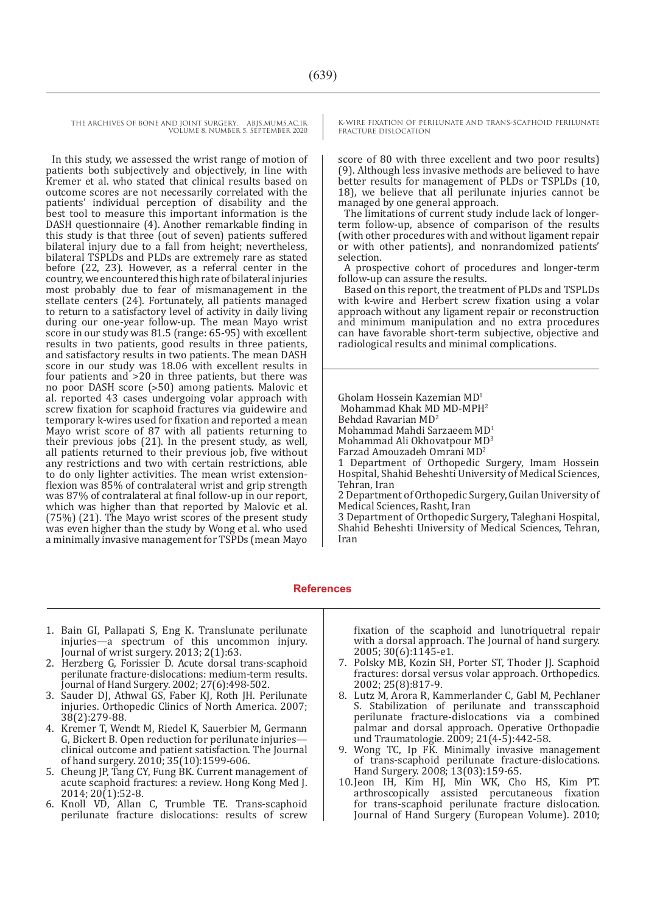In this study, we assessed the wrist range of motion of patients both subjectively and objectively, in line with Kremer et al. who stated that clinical results based on outcome scores are not necessarily correlated with the patients' individual perception of disability and the best tool to measure this important information is the DASH questionnaire (4). Another remarkable finding in this study is that three (out of seven) patients suffered bilateral injury due to a fall from height; nevertheless, bilateral TSPLDs and PLDs are extremely rare as stated before (22, 23). However, as a referral center in the country, we encountered this high rate of bilateral injuries most probably due to fear of mismanagement in the stellate centers (24). Fortunately, all patients managed to return to a satisfactory level of activity in daily living during our one-year follow-up. The mean Mayo wrist score in our study was 81.5 (range: 65-95) with excellent results in two patients, good results in three patients, and satisfactory results in two patients. The mean DASH score in our study was 18.06 with excellent results in four patients and >20 in three patients, but there was no poor DASH score (˃50) among patients. Malovic et al. reported 43 cases undergoing volar approach with screw fixation for scaphoid fractures via guidewire and temporary k-wires used for fixation and reported a mean Mayo wrist score of 87 with all patients returning to their previous jobs (21). In the present study, as well, all patients returned to their previous job, five without any restrictions and two with certain restrictions, able to do only lighter activities. The mean wrist extensionflexion was 85% of contralateral wrist and grip strength was 87% of contralateral at final follow-up in our report, which was higher than that reported by Malovic et al. (75%) (21). The Mayo wrist scores of the present study was even higher than the study by Wong et al. who used a minimally invasive management for TSPDs (mean Mayo K-WIRE FIXATION OF PERILUNATE AND TRANS-SCAPHOID PERILUNATE FRACTURE DISLOCATION

score of 80 with three excellent and two poor results) (9). Although less invasive methods are believed to have better results for management of PLDs or TSPLDs (10, 18), we believe that all perilunate injuries cannot be managed by one general approach.

The limitations of current study include lack of longerterm follow-up, absence of comparison of the results (with other procedures with and without ligament repair or with other patients), and nonrandomized patients' selection.

A prospective cohort of procedures and longer-term follow-up can assure the results.

Based on this report, the treatment of PLDs and TSPLDs with k-wire and Herbert screw fixation using a volar approach without any ligament repair or reconstruction and minimum manipulation and no extra procedures can have favorable short-term subjective, objective and radiological results and minimal complications.

Gholam Hossein Kazemian MD1

Mohammad Khak MD MD-MPH<sup>2</sup>

Behdad Ravarian MD<sup>2</sup>

Mohammad Mahdi Sarzaeem MD<sup>1</sup>

Mohammad Ali Okhovatpour MD<sup>3</sup>

Farzad Amouzadeh Omrani MD<sup>2</sup>

1 Department of Orthopedic Surgery, Imam Hossein Hospital, Shahid Beheshti University of Medical Sciences, Tehran, Iran

2 Department of Orthopedic Surgery, Guilan University of Medical Sciences, Rasht, Iran

3 Department of Orthopedic Surgery, Taleghani Hospital, Shahid Beheshti University of Medical Sciences, Tehran, Iran

### **References**

- 1. Bain GI, Pallapati S, Eng K. Translunate perilunate injuries—a spectrum of this uncommon injury. Journal of wrist surgery. 2013; 2(1):63.
- 2. Herzberg G, Forissier D. Acute dorsal trans-scaphoid perilunate fracture-dislocations: medium-term results. Journal of Hand Surgery. 2002; 27(6):498-502.
- 3. Sauder DJ, Athwal GS, Faber KJ, Roth JH. Perilunate injuries. Orthopedic Clinics of North America. 2007; 38(2):279-88.
- 4. Kremer T, Wendt M, Riedel K, Sauerbier M, Germann G, Bickert B. Open reduction for perilunate injuries clinical outcome and patient satisfaction. The Journal of hand surgery. 2010; 35(10):1599-606.
- 5. Cheung JP, Tang CY, Fung BK. Current management of acute scaphoid fractures: a review. Hong Kong Med J. 2014; 20(1):52-8.
- 6. Knoll VD, Allan C, Trumble TE. Trans-scaphoid perilunate fracture dislocations: results of screw

fixation of the scaphoid and lunotriquetral repair with a dorsal approach. The Journal of hand surgery. 2005; 30(6):1145-e1.

- 7. Polsky MB, Kozin SH, Porter ST, Thoder JJ. Scaphoid fractures: dorsal versus volar approach. Orthopedics. 2002; 25(8):817-9.
- 8. Lutz M, Arora R, Kammerlander C, Gabl M, Pechlaner S. Stabilization of perilunate and transscaphoid perilunate fracture-dislocations via a combined palmar and dorsal approach. Operative Orthopadie und Traumatologie. 2009; 21(4-5):442-58.
- 9. Wong TC, Ip FK. Minimally invasive management of trans-scaphoid perilunate fracture-dislocations. Hand Surgery. 2008; 13(03):159-65.
- 10.Jeon IH, Kim HJ, Min WK, Cho HS, Kim PT. arthroscopically assisted percutaneous fixation for trans-scaphoid perilunate fracture dislocation. Journal of Hand Surgery (European Volume). 2010;